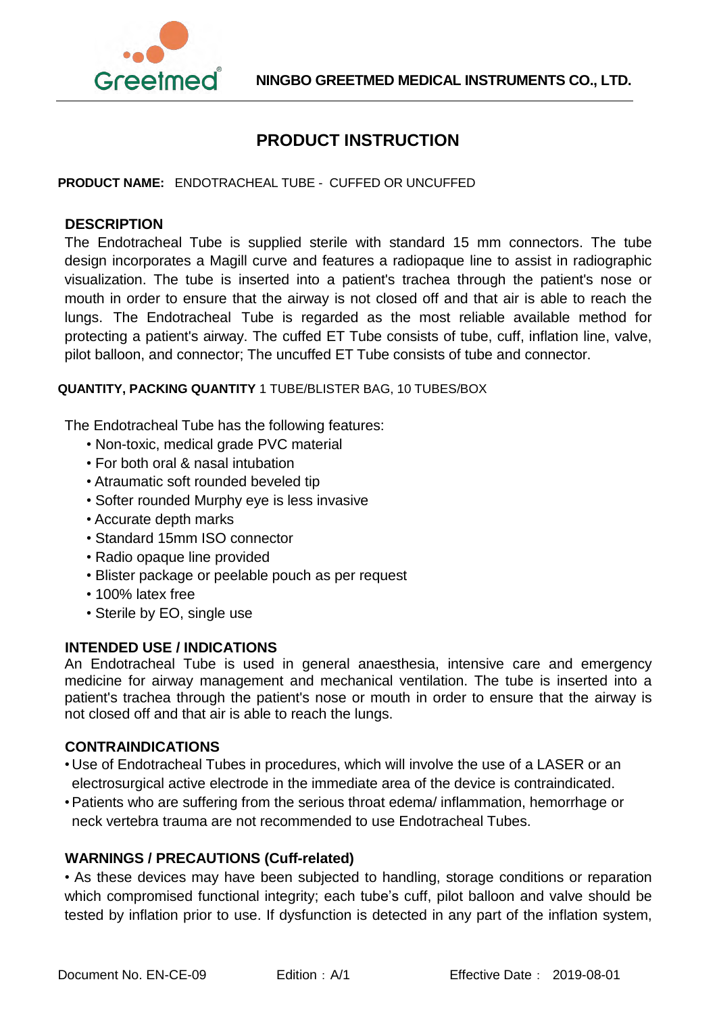

# **PRODUCT INSTRUCTION**

**PRODUCT NAME:** ENDOTRACHEAL TUBE - CUFFED OR UNCUFFED

#### **DESCRIPTION**

The Endotracheal Tube is supplied sterile with standard 15 mm connectors. The tube design incorporates a Magill curve and features a radiopaque line to assist in radiographic visualization. The tube is inserted into a patient's [trachea](http://en.wikipedia.org/wiki/Vertebrate_trachea) through the patient's nose or mouth in order to ensure that the airway is not closed off and that air is able to reach the [lungs.](http://en.wikipedia.org/wiki/Lung) The Endotracheal Tube is regarded as the most reliable available method for protecting a patient's airway. The cuffed ET Tube consists of tube, cuff, inflation line, valve, pilot balloon, and connector; The uncuffed ET Tube consists of tube and connector.

**QUANTITY, PACKING QUANTITY** 1 TUBE/BLISTER BAG, 10 TUBES/BOX

The Endotracheal Tube has the following features:

- Non-toxic, medical grade PVC material
- For both oral & nasal intubation
- Atraumatic soft rounded beveled tip
- Softer rounded Murphy eye is less invasive
- Accurate depth marks
- Standard 15mm ISO connector
- Radio opaque line provided
- Blister package or peelable pouch as per request
- 100% latex free
- Sterile by EO, single use

## **INTENDED USE / INDICATIONS**

An Endotracheal Tube is used in general [anaesthesia,](http://en.wikipedia.org/wiki/General_anaesthesia) [intensive](http://en.wikipedia.org/wiki/Intensive_care) care and [emergency](http://en.wikipedia.org/wiki/Emergency_medicine) [medicine](http://en.wikipedia.org/wiki/Emergency_medicine) for airway [management](http://en.wikipedia.org/wiki/Airway_management) and [mechanical](http://en.wikipedia.org/wiki/Mechanical_ventilation) ventilation. The tube is inserted into a patient's [trachea](http://en.wikipedia.org/wiki/Vertebrate_trachea) through the patient's nose or mouth in order to ensure that the airway is not closed off and that air is able to reach the [lungs.](http://en.wikipedia.org/wiki/Lung)

#### **CONTRAINDICATIONS**

- Use of Endotracheal Tubes in procedures, which will involve the use of a LASER or an electrosurgical active electrode in the immediate area of the device is contraindicated.
- •Patients who are suffering from the serious throat edema/ inflammation, hemorrhage or neck vertebra trauma are not recommended to use Endotracheal Tubes.

## **WARNINGS / PRECAUTIONS (Cuff-related)**

• As these devices may have been subjected to handling, storage conditions or reparation which compromised functional integrity; each tube's cuff, pilot balloon and valve should be tested by inflation prior to use. If dysfunction is detected in any part of the inflation system,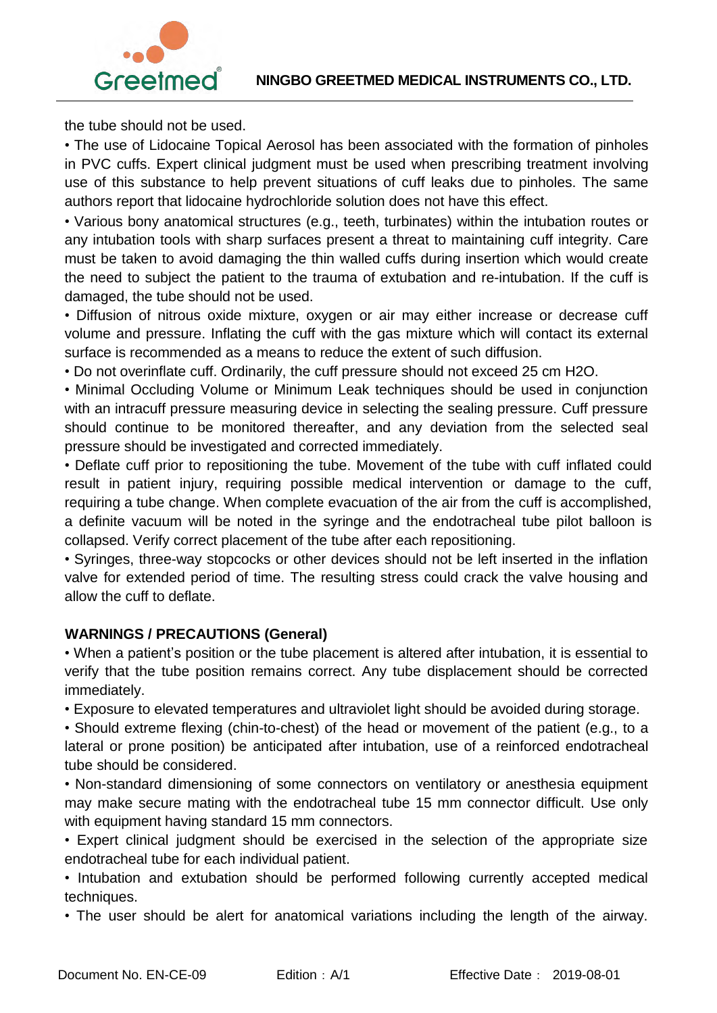



the tube should not be used.

• The use of Lidocaine Topical Aerosol has been associated with the formation of pinholes in PVC cuffs. Expert clinical judgment must be used when prescribing treatment involving use of this substance to help prevent situations of cuff leaks due to pinholes. The same authors report that lidocaine hydrochloride solution does not have this effect.

• Various bony anatomical structures (e.g., teeth, turbinates) within the intubation routes or any intubation tools with sharp surfaces present a threat to maintaining cuff integrity. Care must be taken to avoid damaging the thin walled cuffs during insertion which would create the need to subject the patient to the trauma of extubation and re-intubation. If the cuff is damaged, the tube should not be used.

• Diffusion of nitrous oxide mixture, oxygen or air may either increase or decrease cuff volume and pressure. Inflating the cuff with the gas mixture which will contact its external surface is recommended as a means to reduce the extent of such diffusion.

• Do not overinflate cuff. Ordinarily, the cuff pressure should not exceed 25 cm H2O.

• Minimal Occluding Volume or Minimum Leak techniques should be used in conjunction with an intracuff pressure measuring device in selecting the sealing pressure. Cuff pressure should continue to be monitored thereafter, and any deviation from the selected seal pressure should be investigated and corrected immediately.

• Deflate cuff prior to repositioning the tube. Movement of the tube with cuff inflated could result in patient injury, requiring possible medical intervention or damage to the cuff, requiring a tube change. When complete evacuation of the air from the cuff is accomplished, a definite vacuum will be noted in the syringe and the endotracheal tube pilot balloon is collapsed. Verify correct placement of the tube after each repositioning.

• Syringes, three-way stopcocks or other devices should not be left inserted in the inflation valve for extended period of time. The resulting stress could crack the valve housing and allow the cuff to deflate.

## **WARNINGS / PRECAUTIONS (General)**

• When a patient's position or the tube placement is altered after intubation, it is essential to verify that the tube position remains correct. Any tube displacement should be corrected immediately.

• Exposure to elevated temperatures and ultraviolet light should be avoided during storage.

• Should extreme flexing (chin-to-chest) of the head or movement of the patient (e.g., to a lateral or prone position) be anticipated after intubation, use of a reinforced endotracheal tube should be considered.

• Non-standard dimensioning of some connectors on ventilatory or anesthesia equipment may make secure mating with the endotracheal tube 15 mm connector difficult. Use only with equipment having standard 15 mm connectors.

• Expert clinical judgment should be exercised in the selection of the appropriate size endotracheal tube for each individual patient.

• Intubation and extubation should be performed following currently accepted medical techniques.

• The user should be alert for anatomical variations including the length of the airway.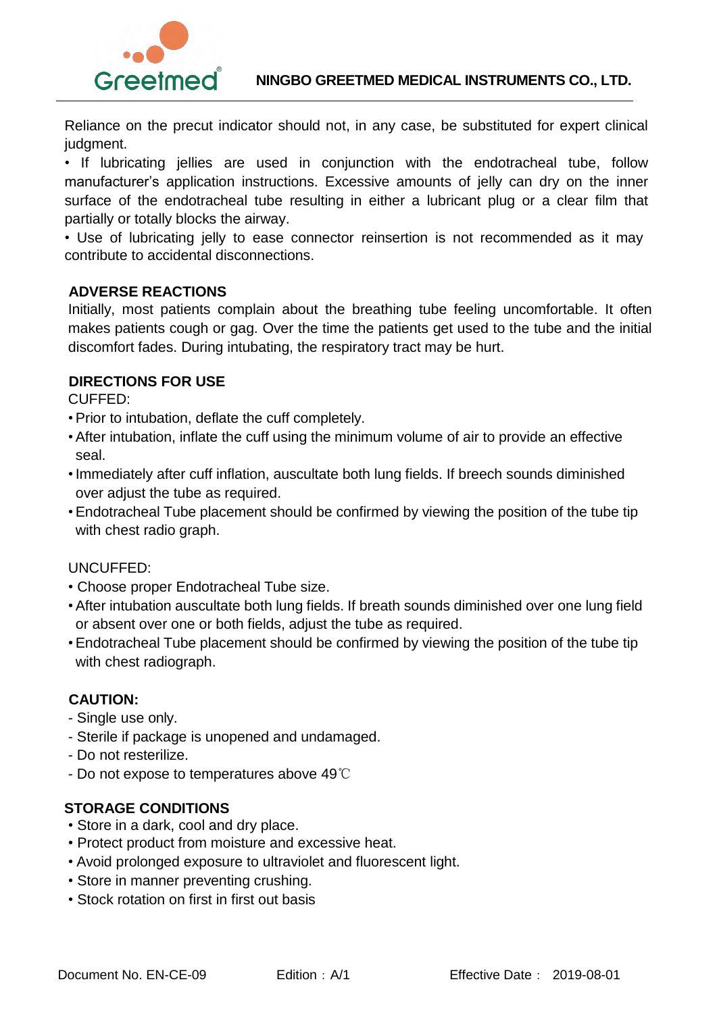

Reliance on the precut indicator should not, in any case, be substituted for expert clinical judgment.

• If lubricating jellies are used in conjunction with the endotracheal tube, follow manufacturer's application instructions. Excessive amounts of jelly can dry on the inner surface of the endotracheal tube resulting in either a lubricant plug or a clear film that partially or totally blocks the airway.

• Use of lubricating jelly to ease connector reinsertion is not recommended as it may contribute to accidental disconnections.

## **ADVERSE REACTIONS**

Initially, most patients complain about the breathing tube feeling uncomfortable. It often makes patients cough or gag. Over the time the patients get used to the tube and the initial discomfort fades. During intubating, the respiratory tract may be hurt.

## **DIRECTIONS FOR USE**

CUFFED:

- •Prior to intubation, deflate the cuff completely.
- •After intubation, inflate the cuff using the minimum volume of air to provide an effective seal.
- •Immediately after cuff inflation, auscultate both lung fields. If breech sounds diminished over adjust the tube as required.
- •Endotracheal Tube placement should be confirmed by viewing the position of the tube tip with chest radio graph.

## UNCUFFED:

- Choose proper Endotracheal Tube size.
- •After intubation auscultate both lung fields. If breath sounds diminished over one lung field or absent over one or both fields, adjust the tube as required.
- •Endotracheal Tube placement should be confirmed by viewing the position of the tube tip with chest radiograph.

## **CAUTION:**

- Single use only.
- Sterile if package is unopened and undamaged.
- Do not resterilize.
- Do not expose to temperatures above 49℃

## **STORAGE CONDITIONS**

- Store in a dark, cool and dry place.
- Protect product from moisture and excessive heat.
- Avoid prolonged exposure to ultraviolet and fluorescent light.
- Store in manner preventing crushing.
- Stock rotation on first in first out basis